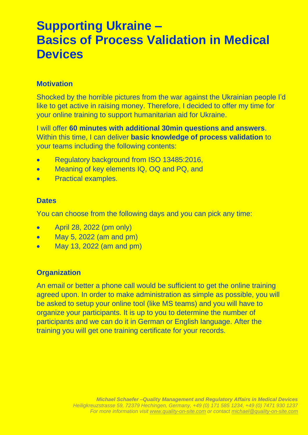# **Supporting Ukraine – Basics of Process Validation in Medical Devices**

### **Motivation**

Shocked by the horrible pictures from the war against the Ukrainian people I'd like to get active in raising money. Therefore, I decided to offer my time for your online training to support humanitarian aid for Ukraine.

I will offer **60 minutes with additional 30min questions and answers**. Within this time, I can deliver **basic knowledge of process validation** to your teams including the following contents:

- Regulatory background from ISO 13485:2016,
- Meaning of key elements IQ, OQ and PQ, and
- Practical examples.

#### **Dates**

You can choose from the following days and you can pick any time:

- April 28, 2022 (pm only)
- May 5, 2022 (am and pm)
- May 13, 2022 (am and pm)

### **Organization**

An email or better a phone call would be sufficient to get the online training agreed upon. In order to make administration as simple as possible, you will be asked to setup your online tool (like MS teams) and you will have to organize your participants. It is up to you to determine the number of participants and we can do it in German or English language. After the training you will get one training certificate for your records.